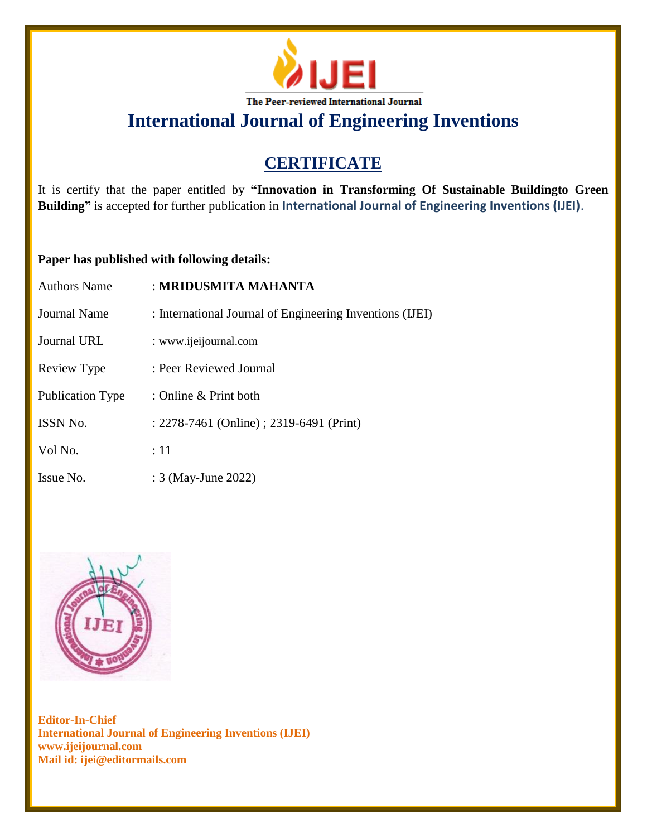

**International Journal of Engineering Inventions**

## **CERTIFICATE**

It is certify that the paper entitled by **"Innovation in Transforming Of Sustainable Buildingto Green Building"** is accepted for further publication in **International Journal of Engineering Inventions (IJEI)**.

## **Paper has published with following details:**

| <b>Authors Name</b> | : MRIDUSMITA MAHANTA                                     |
|---------------------|----------------------------------------------------------|
| Journal Name        | : International Journal of Engineering Inventions (IJEI) |
| <b>Journal URL</b>  | : www.ijeijournal.com                                    |
| Review Type         | : Peer Reviewed Journal                                  |
| Publication Type    | : Online $&$ Print both                                  |
| ISSN No.            | : 2278-7461 (Online) ; 2319-6491 (Print)                 |
| Vol No.             | :11                                                      |
| Issue No.           | : 3 (May-June 2022)                                      |



**Editor-In-Chief International Journal of Engineering Inventions (IJEI) www.ijeijournal.com Mail id: ijei@editormails.com**